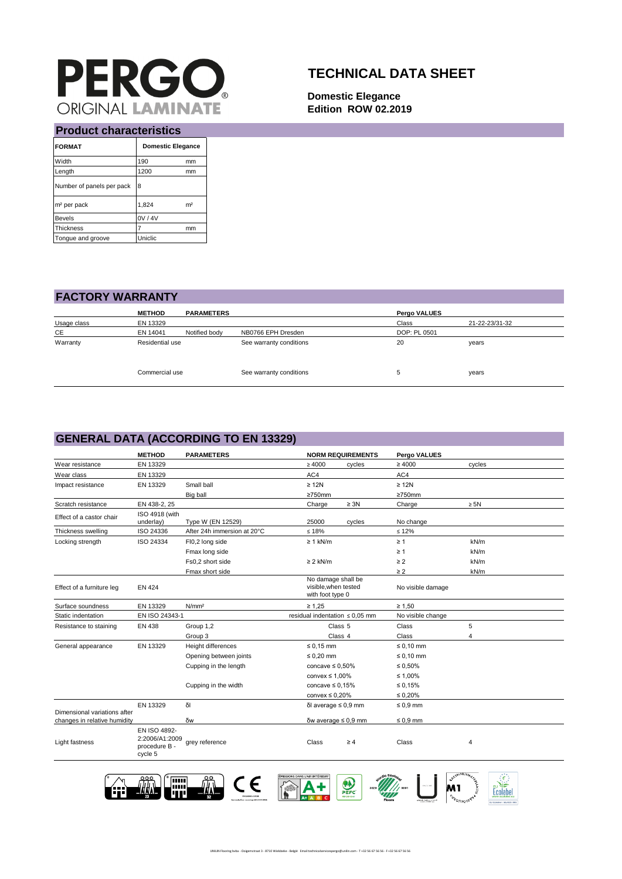

## **TECHNICAL DATA SHEET**

**Domestic Elegance Edition ROW 02.2019**

| FTUUUCL CHAFACLEITSLICS   |                          |                |  |  |  |
|---------------------------|--------------------------|----------------|--|--|--|
| <b>FORMAT</b>             | <b>Domestic Elegance</b> |                |  |  |  |
| Width                     | 190                      | mm             |  |  |  |
| Length                    | 1200                     | mm             |  |  |  |
| Number of panels per pack | 8                        |                |  |  |  |
| m <sup>2</sup> per pack   | 1,824                    | m <sup>2</sup> |  |  |  |
| <b>Bevels</b>             | 0V / 4V                  |                |  |  |  |
| <b>Thickness</b>          | 7                        | mm             |  |  |  |
| Tongue and groove         | Uniclic                  |                |  |  |  |

## **Product characteristics**

| <b>FACTORY WARRANTY</b> |
|-------------------------|
|-------------------------|

|             | <b>METHOD</b>   | <b>PARAMETERS</b> |                         | Pergo VALUES |                |  |
|-------------|-----------------|-------------------|-------------------------|--------------|----------------|--|
| Usage class | EN 13329        |                   |                         | Class        | 21-22-23/31-32 |  |
| CE          | EN 14041        | Notified body     | NB0766 EPH Dresden      | DOP: PL 0501 |                |  |
| Warranty    | Residential use |                   | See warranty conditions | 20           | years          |  |
|             | Commercial use  |                   | See warranty conditions | υ            | years          |  |

#### **GENERAL DATA (ACCORDING TO EN 13329)**

|                                                              | <b>METHOD</b>                                              | <b>PARAMETERS</b>           | <b>NORM REQUIREMENTS</b>                                       |           | Pergo VALUES      |           |
|--------------------------------------------------------------|------------------------------------------------------------|-----------------------------|----------------------------------------------------------------|-----------|-------------------|-----------|
| Wear resistance                                              | EN 13329                                                   |                             | $\geq 4000$                                                    | cycles    | $\geq 4000$       | cycles    |
| Wear class                                                   | EN 13329                                                   |                             | AC4                                                            |           | AC4               |           |
| Impact resistance                                            | EN 13329                                                   | Small ball                  | $\geq 12N$                                                     |           | $\geq 12N$        |           |
|                                                              |                                                            | Big ball                    | $\geq$ 750mm                                                   |           | $\geq 750$ mm     |           |
| Scratch resistance                                           | EN 438-2, 25                                               |                             | Charge                                                         | $\geq 3N$ | Charge            | $\geq 5N$ |
| Effect of a castor chair                                     | ISO 4918 (with<br>underlay)                                | Type W (EN 12529)           | 25000                                                          | cycles    | No change         |           |
| Thickness swelling                                           | ISO 24336                                                  | After 24h immersion at 20°C | $\leq 18\%$                                                    |           | $\leq 12\%$       |           |
| Locking strength                                             | ISO 24334                                                  | FI0,2 long side             | $\geq 1$ kN/m                                                  |           | $\geq 1$          | kN/m      |
|                                                              |                                                            | Fmax long side              |                                                                |           | $\geq 1$          | kN/m      |
|                                                              |                                                            | Fs0,2 short side            | $\geq$ 2 kN/m                                                  |           | $\geq$ 2          | kN/m      |
|                                                              |                                                            | Fmax short side             |                                                                |           | $\geq$ 2          | kN/m      |
| Effect of a furniture leg                                    | <b>EN 424</b>                                              |                             | No damage shall be<br>visible, when tested<br>with foot type 0 |           | No visible damage |           |
| Surface soundness                                            | EN 13329                                                   | N/mm <sup>2</sup>           | $\geq 1,25$                                                    |           | $\geq 1.50$       |           |
| Static indentation                                           | EN ISO 24343-1                                             |                             | residual indentation $\leq 0.05$ mm                            |           | No visible change |           |
| Resistance to staining                                       | EN 438                                                     | Group 1,2                   | Class <sub>5</sub>                                             |           | Class             | 5         |
|                                                              |                                                            | Group 3                     | Class 4                                                        |           | Class             | 4         |
| General appearance                                           | EN 13329                                                   | Height differences          | $\leq 0.15$ mm                                                 |           | $\leq 0.10$ mm    |           |
|                                                              |                                                            | Opening between joints      | $\leq 0.20$ mm                                                 |           | $\leq 0.10$ mm    |           |
|                                                              |                                                            | Cupping in the length       | concave $\leq 0.50\%$                                          |           | $\leq 0.50\%$     |           |
|                                                              |                                                            |                             | convex $\leq 1.00\%$                                           |           | ≤ 1,00%           |           |
|                                                              |                                                            | Cupping in the width        | concave $\leq 0.15\%$                                          |           | $\leq 0.15\%$     |           |
|                                                              |                                                            |                             | convex $\leq 0.20\%$                                           |           | $\leq 0.20\%$     |           |
|                                                              | EN 13329                                                   | δI                          | δΙ average $\leq$ 0,9 mm                                       |           | $\leq 0.9$ mm     |           |
| Dimensional variations after<br>changes in relative humidity |                                                            | δw                          | δw average $\leq$ 0,9 mm                                       |           | $\leq 0.9$ mm     |           |
| Light fastness                                               | EN ISO 4892-<br>2:2006/A1:2009<br>procedure B -<br>cycle 5 | grey reference              | Class                                                          | $\geq 4$  | Class             | 4         |